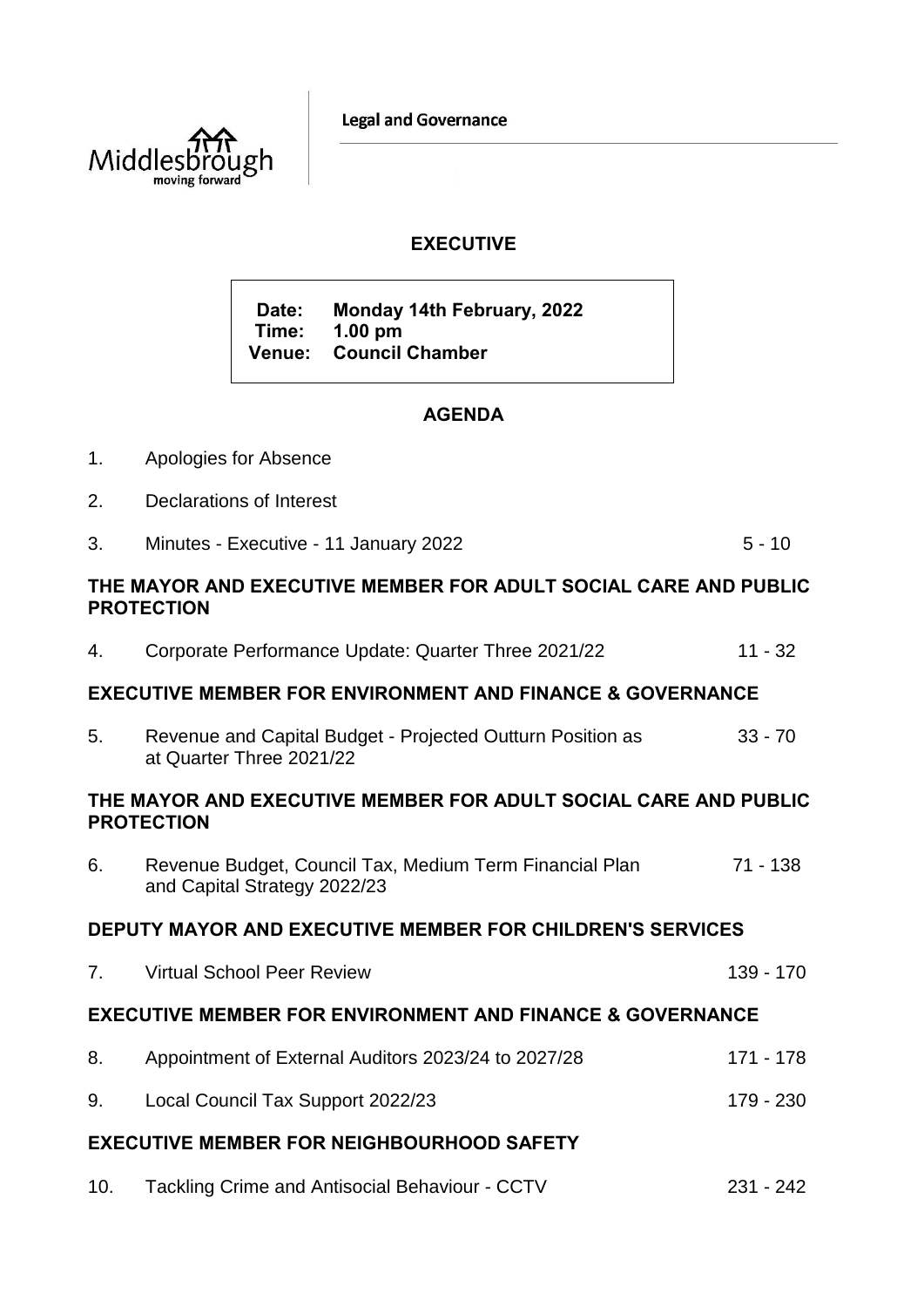**Legal and Governance** 



# **EXECUTIVE**

**Date: Monday 14th February, 2022 Time: 1.00 pm Venue: Council Chamber**

# **AGENDA**

- 1. Apologies for Absence
- 2. Declarations of Interest
- 3. Minutes Executive 11 January 2022 5 10

#### **THE MAYOR AND EXECUTIVE MEMBER FOR ADULT SOCIAL CARE AND PUBLIC PROTECTION**

4. Corporate Performance Update: Quarter Three 2021/22 11 - 32

## **EXECUTIVE MEMBER FOR ENVIRONMENT AND FINANCE & GOVERNANCE**

5. Revenue and Capital Budget - Projected Outturn Position as at Quarter Three 2021/22 33 - 70

### **THE MAYOR AND EXECUTIVE MEMBER FOR ADULT SOCIAL CARE AND PUBLIC PROTECTION**

6. Revenue Budget, Council Tax, Medium Term Financial Plan and Capital Strategy 2022/23 71 - 138

### **DEPUTY MAYOR AND EXECUTIVE MEMBER FOR CHILDREN'S SERVICES**

- 7. Virtual School Peer Review 139 170 **EXECUTIVE MEMBER FOR ENVIRONMENT AND FINANCE & GOVERNANCE**
- 8. Appointment of External Auditors 2023/24 to 2027/28 171 178 9. Local Council Tax Support 2022/23 179 - 230

## **EXECUTIVE MEMBER FOR NEIGHBOURHOOD SAFETY**

10. Tackling Crime and Antisocial Behaviour - CCTV 231 - 242